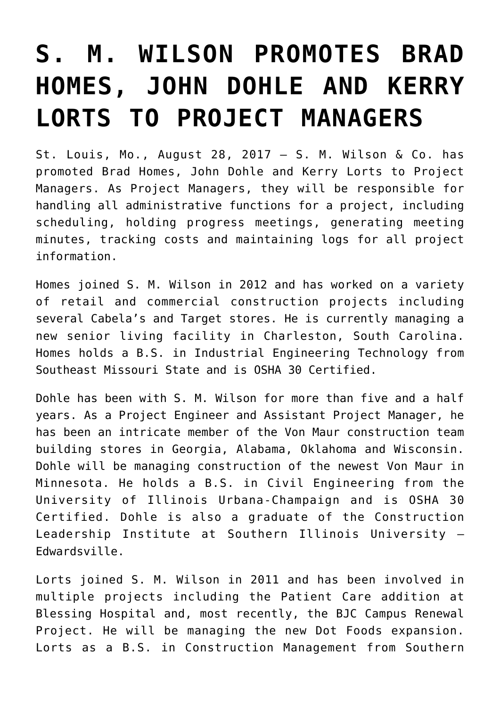## **[S. M. WILSON PROMOTES BRAD](https://smwilson.com/press-releases/s-m-wilson-promotes-brad-homes-john-dohle-kerry-lorts-project-managers) [HOMES, JOHN DOHLE AND KERRY](https://smwilson.com/press-releases/s-m-wilson-promotes-brad-homes-john-dohle-kerry-lorts-project-managers) [LORTS TO PROJECT MANAGERS](https://smwilson.com/press-releases/s-m-wilson-promotes-brad-homes-john-dohle-kerry-lorts-project-managers)**

St. Louis, Mo., August 28, 2017 – S. M. Wilson & Co. has promoted Brad Homes, John Dohle and Kerry Lorts to Project Managers. As Project Managers, they will be responsible for handling all administrative functions for a project, including scheduling, holding progress meetings, generating meeting minutes, tracking costs and maintaining logs for all project information.

Homes joined S. M. Wilson in 2012 and has worked on a variety of retail and commercial construction projects including several Cabela's and Target stores. He is currently managing a new senior living facility in Charleston, South Carolina. Homes holds a B.S. in Industrial Engineering Technology from Southeast Missouri State and is OSHA 30 Certified.

Dohle has been with S. M. Wilson for more than five and a half years. As a Project Engineer and Assistant Project Manager, he has been an intricate member of the Von Maur construction team building stores in Georgia, Alabama, Oklahoma and Wisconsin. Dohle will be managing construction of the newest Von Maur in Minnesota. He holds a B.S. in Civil Engineering from the University of Illinois Urbana-Champaign and is OSHA 30 Certified. Dohle is also a graduate of the Construction Leadership Institute at Southern Illinois University – Edwardsville.

Lorts joined S. M. Wilson in 2011 and has been involved in multiple projects including the Patient Care addition at Blessing Hospital and, most recently, the BJC Campus Renewal Project. He will be managing the new Dot Foods expansion. Lorts as a B.S. in Construction Management from Southern